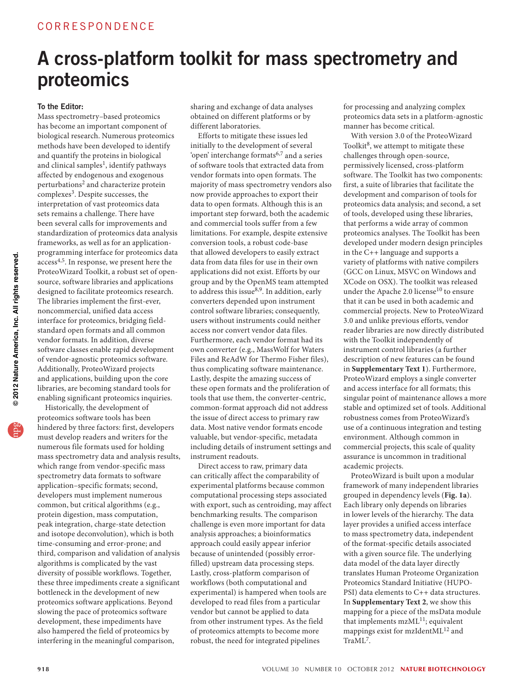# A cross-platform toolkit for mass spectrometry and proteomics

### To the Editor:

Mass spectrometry–based proteomics has become an important component of biological research. Numerous proteomics methods have been developed to identify and quantify the proteins in biological and clinical samples<sup>1</sup>, identify pathways affected by endogenous and exogenous perturbations2 and characterize protein complexes<sup>3</sup>. Despite successes, the interpretation of vast proteomics data sets remains a challenge. There have been several calls for improvements and standardization of proteomics data analysis frameworks, as well as for an applicationprogramming interface for proteomics data  $\arccos^{4,5}$ . In response, we present here the ProteoWizard Toolkit, a robust set of opensource, software libraries and applications designed to facilitate proteomics research. The libraries implement the first-ever, noncommercial, unified data access interface for proteomics, bridging fieldstandard open formats and all common vendor formats. In addition, diverse software classes enable rapid development of vendor-agnostic proteomics software. Additionally, ProteoWizard projects and applications, building upon the core libraries, are becoming standard tools for enabling significant proteomics inquiries.

Historically, the development of proteomics software tools has been hindered by three factors: first, developers must develop readers and writers for the numerous file formats used for holding mass spectrometry data and analysis results, which range from vendor-specific mass spectrometry data formats to software application–specific formats; second, developers must implement numerous common, but critical algorithms (e.g., protein digestion, mass computation, peak integration, charge-state detection and isotope deconvolution), which is both time-consuming and error-prone; and third, comparison and validation of analysis algorithms is complicated by the vast diversity of possible workflows. Together, these three impediments create a significant bottleneck in the development of new proteomics software applications. Beyond slowing the pace of proteomics software development, these impediments have also hampered the field of proteomics by interfering in the meaningful comparison,

sharing and exchange of data analyses obtained on different platforms or by different laboratories.

Efforts to mitigate these issues led initially to the development of several 'open' interchange formats6,7 and a series of software tools that extracted data from vendor formats into open formats. The majority of mass spectrometry vendors also now provide approaches to export their data to open formats. Although this is an important step forward, both the academic and commercial tools suffer from a few limitations. For example, despite extensive conversion tools, a robust code-base that allowed developers to easily extract data from data files for use in their own applications did not exist. Efforts by our group and by the OpenMS team attempted to address this issue<sup>8,9</sup>. In addition, early converters depended upon instrument control software libraries; consequently, users without instruments could neither access nor convert vendor data files. Furthermore, each vendor format had its own converter (e.g., MassWolf for Waters Files and ReAdW for Thermo Fisher files), thus complicating software maintenance. Lastly, despite the amazing success of these open formats and the proliferation of tools that use them, the converter-centric, common-format approach did not address the issue of direct access to primary raw data. Most native vendor formats encode valuable, but vendor-specific, metadata including details of instrument settings and instrument readouts.

Direct access to raw, primary data can critically affect the comparability of experimental platforms because common computational processing steps associated with export, such as centroiding, may affect benchmarking results. The comparison challenge is even more important for data analysis approaches; a bioinformatics approach could easily appear inferior because of unintended (possibly errorfilled) upstream data processing steps. Lastly, cross-platform comparison of workflows (both computational and experimental) is hampered when tools are developed to read files from a particular vendor but cannot be applied to data from other instrument types. As the field of proteomics attempts to become more robust, the need for integrated pipelines

for processing and analyzing complex proteomics data sets in a platform-agnostic manner has become critical.

With version 3.0 of the ProteoWizard Toolkit<sup>8</sup>, we attempt to mitigate these challenges through open-source, permissively licensed, cross-platform software. The Toolkit has two components: first, a suite of libraries that facilitate the development and comparison of tools for proteomics data analysis; and second, a set of tools, developed using these libraries, that performs a wide array of common proteomics analyses. The Toolkit has been developed under modern design principles in the C++ language and supports a variety of platforms with native compilers (GCC on Linux, MSVC on Windows and XCode on OSX). The toolkit was released under the Apache 2.0 license $10$  to ensure that it can be used in both academic and commercial projects. New to ProteoWizard 3.0 and unlike previous efforts, vendor reader libraries are now directly distributed with the Toolkit independently of instrument control libraries (a further description of new features can be found in **Supplementary Text 1**). Furthermore, ProteoWizard employs a single converter and access interface for all formats; this singular point of maintenance allows a more stable and optimized set of tools. Additional robustness comes from ProteoWizard's use of a continuous integration and testing environment. Although common in commercial projects, this scale of quality assurance is uncommon in traditional academic projects.

ProteoWizard is built upon a modular framework of many independent libraries grouped in dependency levels (**Fig. 1a**). Each library only depends on libraries in lower levels of the hierarchy. The data layer provides a unified access interface to mass spectrometry data, independent of the format-specific details associated with a given source file. The underlying data model of the data layer directly translates Human Proteome Organization Proteomics Standard Initiative (HUPO-PSI) data elements to C++ data structures. In **Supplementary Text 2**, we show this mapping for a piece of the msData module that implements  $mzML^{11}$ ; equivalent mappings exist for mzIdentML<sup>12</sup> and TraML7.

© 2012 Nature America, Inc. All rights reserved.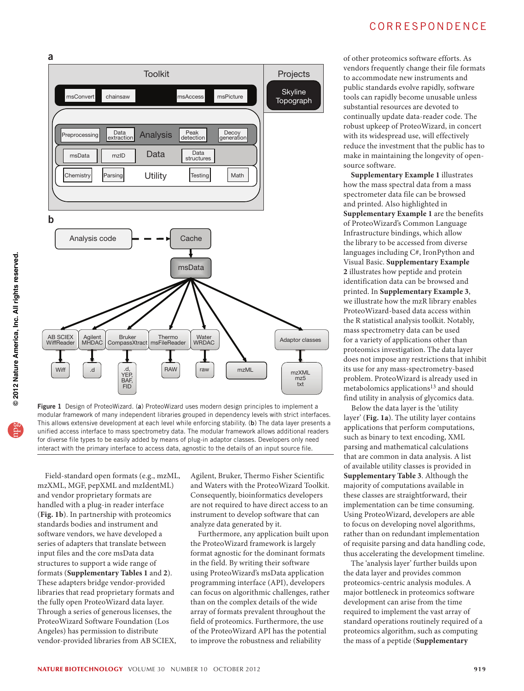## correspondence



Figure 1 Design of ProteoWizard. (a) ProteoWizard uses modern design principles to implement a modular framework of many independent libraries grouped in dependency levels with strict interfaces. This allows extensive development at each level while enforcing stability. (b) The data layer presents a unified access interface to mass spectrometry data. The modular framework allows additional readers for diverse file types to be easily added by means of plug-in adaptor classes. Developers only need interact with the primary interface to access data, agnostic to the details of an input source file.

Field-standard open formats (e.g., mzML, mzXML, MGF, pepXML and mzIdentML) and vendor proprietary formats are handled with a plug-in reader interface (**Fig. 1b**). In partnership with proteomics standards bodies and instrument and software vendors, we have developed a series of adapters that translate between input files and the core msData data structures to support a wide range of formats (**Supplementary Tables 1** and **2**). These adapters bridge vendor-provided libraries that read proprietary formats and the fully open ProteoWizard data layer. Through a series of generous licenses, the ProteoWizard Software Foundation (Los Angeles) has permission to distribute vendor-provided libraries from AB SCIEX,

Agilent, Bruker, Thermo Fisher Scientific and Waters with the ProteoWizard Toolkit. Consequently, bioinformatics developers are not required to have direct access to an instrument to develop software that can analyze data generated by it.

Furthermore, any application built upon the ProteoWizard framework is largely format agnostic for the dominant formats in the field. By writing their software using ProteoWizard's msData application programming interface (API), developers can focus on algorithmic challenges, rather than on the complex details of the wide array of formats prevalent throughout the field of proteomics. Furthermore, the use of the ProteoWizard API has the potential to improve the robustness and reliability

of other proteomics software efforts. As vendors frequently change their file formats to accommodate new instruments and public standards evolve rapidly, software tools can rapidly become unusable unless substantial resources are devoted to continually update data-reader code. The robust upkeep of ProteoWizard, in concert with its widespread use, will effectively reduce the investment that the public has to make in maintaining the longevity of opensource software.

**Supplementary Example 1** illustrates how the mass spectral data from a mass spectrometer data file can be browsed and printed. Also highlighted in **Supplementary Example 1** are the benefits of ProteoWizard's Common Language Infrastructure bindings, which allow the library to be accessed from diverse languages including C#, IronPython and Visual Basic. **Supplementary Example 2** illustrates how peptide and protein identification data can be browsed and printed. In **Supplementary Example 3**, we illustrate how the mzR library enables ProteoWizard-based data access within the R statistical analysis toolkit. Notably, mass spectrometry data can be used for a variety of applications other than proteomics investigation. The data layer does not impose any restrictions that inhibit its use for any mass-spectrometry-based problem. ProteoWizard is already used in metabolomics applications<sup>13</sup> and should find utility in analysis of glycomics data.

Below the data layer is the 'utility layer' (**Fig. 1a**). The utility layer contains applications that perform computations, such as binary to text encoding, XML parsing and mathematical calculations that are common in data analysis. A list of available utility classes is provided in **Supplementary Table 3**. Although the majority of computations available in these classes are straightforward, their implementation can be time consuming. Using ProteoWizard, developers are able to focus on developing novel algorithms, rather than on redundant implementation of requisite parsing and data handling code, thus accelerating the development timeline.

The 'analysis layer' further builds upon the data layer and provides common proteomics-centric analysis modules. A major bottleneck in proteomics software development can arise from the time required to implement the vast array of standard operations routinely required of a proteomics algorithm, such as computing the mass of a peptide (**Supplementary** 

a

b